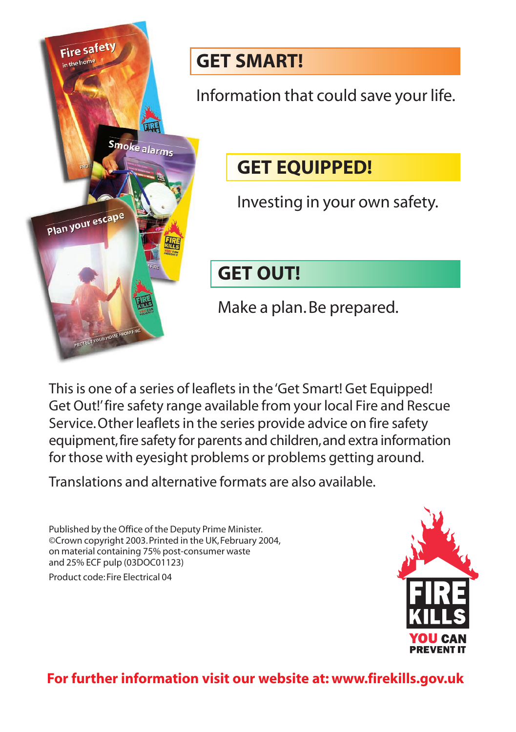

#### **GET SMART!**

Information that could save your life.

#### **GET EQUIPPED!**

Investing in your own safety.

### **GET OUT!**

Make a plan. Be prepared.

This is one of a series of leaflets in the 'Get Smart! Get Equipped! Get Out!'fire safety range available from your local Fire and Rescue Service.Other leaflets in the series provide advice on fire safety equipment,fire safety for parents and children,and extra information for those with eyesight problems or problems getting around.

Translations and alternative formats are also available.

Published by the Office of the Deputy Prime Minister. ©Crown copyright 2003. Printed in the UK, February 2004, on material containing 75% post-consumer waste and 25% ECF pulp (03DOC01123)

Product code: Fire Electrical 04



#### **For further information visit our website at: www.firekills.gov.uk**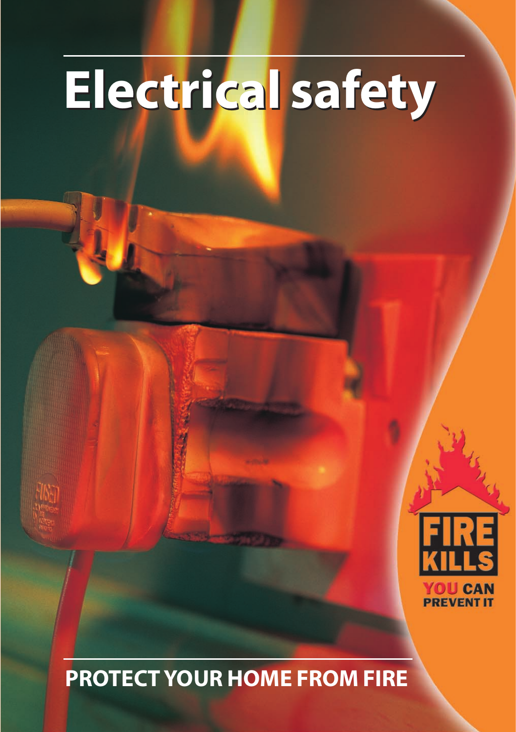# **Electrical safety Electrical safety**



## **PROTECT YOUR HOME FROM FIRE**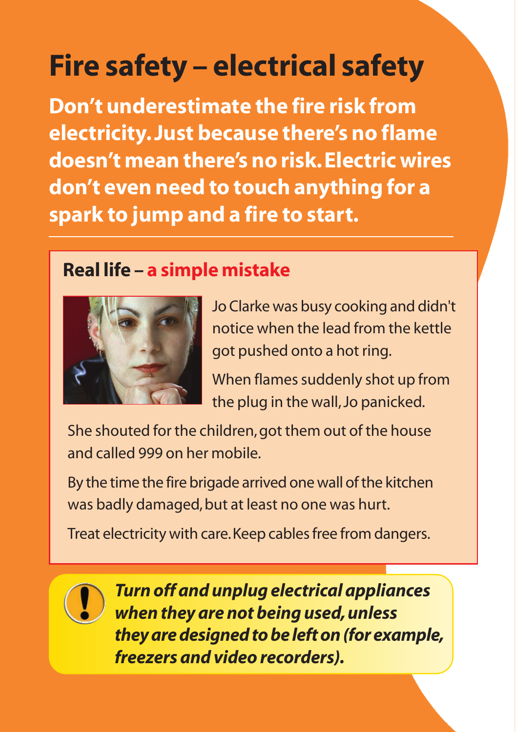# **Fire safety – electrical safety**

**Don't underestimate the fire risk from electricity. Just because there's no flame doesn't mean there's no risk. Electric wires don't even need to touch anything for a spark to jump and a fire to start.**

#### **Real life – a simple mistake**



Jo Clarke was busy cooking and didn't notice when the lead from the kettle got pushed onto a hot ring.

When flames suddenly shot up from the plug in the wall, Jo panicked.

She shouted for the children, got them out of the house and called 999 on her mobile.

By the time the fire brigade arrived one wall of the kitchen was badly damaged, but at least no one was hurt.

Treat electricity with care.Keep cables free from dangers.



*Turn off and unplug electrical appliances when they are not being used, unless they are designed to be left on (for example, freezers and video recorders).*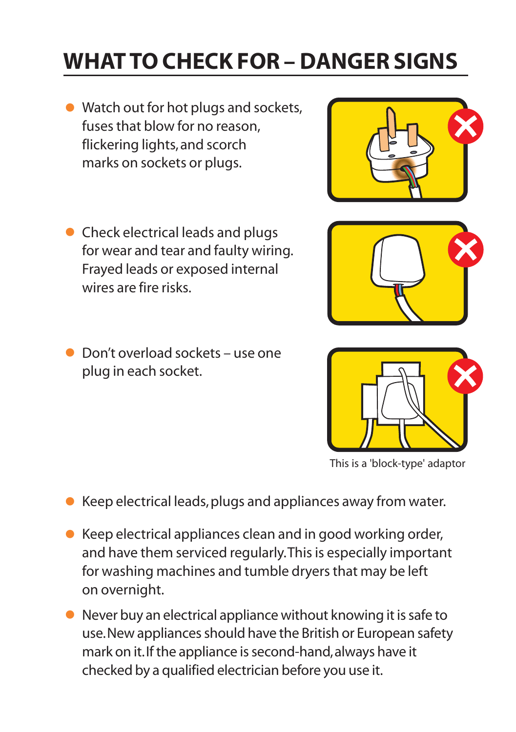# **WHAT TO CHECK FOR – DANGER SIGNS**

- Watch out for hot plugs and sockets, fuses that blow for no reason, flickering lights, and scorch marks on sockets or plugs.
- Check electrical leads and plugs for wear and tear and faulty wiring. Frayed leads or exposed internal wires are fire risks.
- Don't overload sockets use one plug in each socket.

- Keep electrical leads, plugs and appliances away from water.
- Keep electrical appliances clean and in good working order, and have them serviced regularly.This is especially important for washing machines and tumble dryers that may be left on overnight.
- Never buy an electrical appliance without knowing it is safe to use.New appliances should have the British or European safety mark on it.If the appliance is second-hand,always have it checked by a qualified electrician before you use it.







This is a 'block-type' adaptor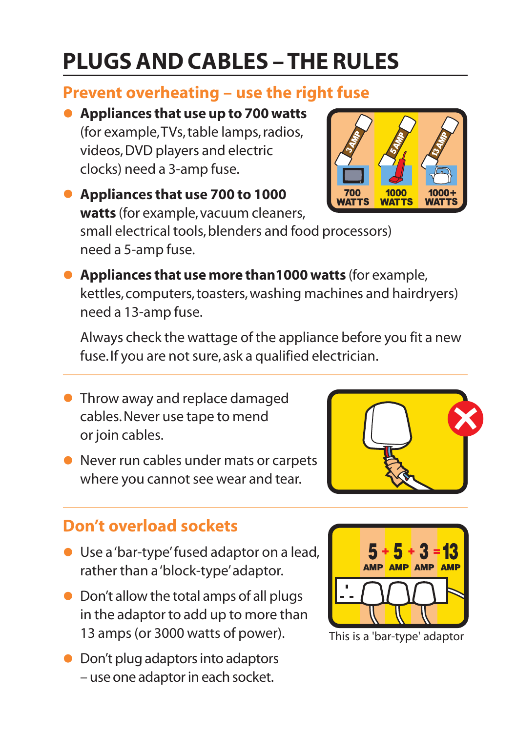# **PLUGS AND CABLES – THE RULES**

#### **Prevent overheating – use the right fuse**

• **Appliances that use up to 700 watts** (for example,TVs, table lamps, radios, videos, DVD players and electric clocks) need a 3-amp fuse.

• **Appliances that use 700 to 1000 WATTS watts** (for example, vacuum cleaners, small electrical tools, blenders and food processors) need a 5-amp fuse.

• **Appliances that use more than1000 watts** (for example, kettles, computers, toasters, washing machines and hairdryers) need a 13-amp fuse.

Always check the wattage of the appliance before you fit a new fuse.If you are not sure, ask a qualified electrician.

- **Throw away and replace damaged** cables. Never use tape to mend or join cables.
- Never run cables under mats or carpets where you cannot see wear and tear.

#### **Don't overload sockets**

- Use a 'bar-type'fused adaptor on a lead, rather than a 'block-type'adaptor.
- Don't allow the total amps of all plugs in the adaptor to add up to more than 13 amps (or 3000 watts of power).
- Don't plug adaptors into adaptors – use one adaptor in each socket.





AMP <mark>amp</mark> amp <mark>amp</mark>

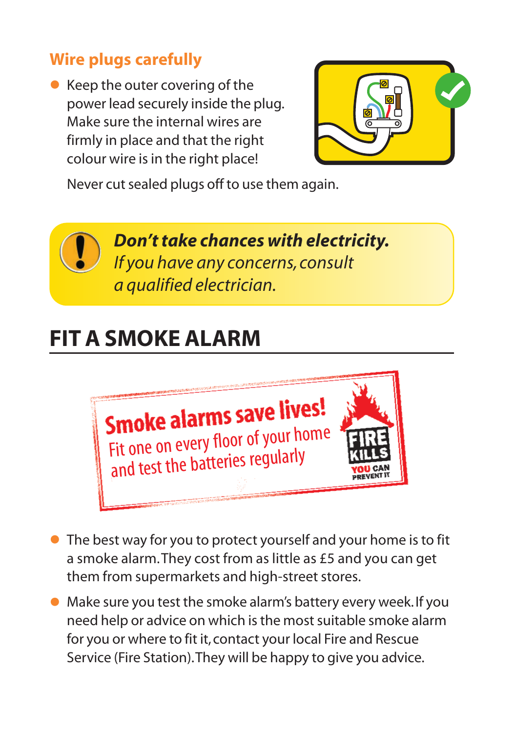#### **Wire plugs carefully**

 $\bullet$  Keep the outer covering of the power lead securely inside the plug. Make sure the internal wires are firmly in place and that the right colour wire is in the right place!



Never cut sealed plugs off to use them again.

*Don't take chances with electricity. If you have any concerns, consult a qualified electrician.*

### **FIT A SMOKE ALARM**



- The best way for you to protect yourself and your home is to fit a smoke alarm.They cost from as little as £5 and you can get them from supermarkets and high-street stores.
- Make sure you test the smoke alarm's battery every week. If you need help or advice on which is the most suitable smoke alarm for you or where to fit it, contact your local Fire and Rescue Service (Fire Station).They will be happy to give you advice.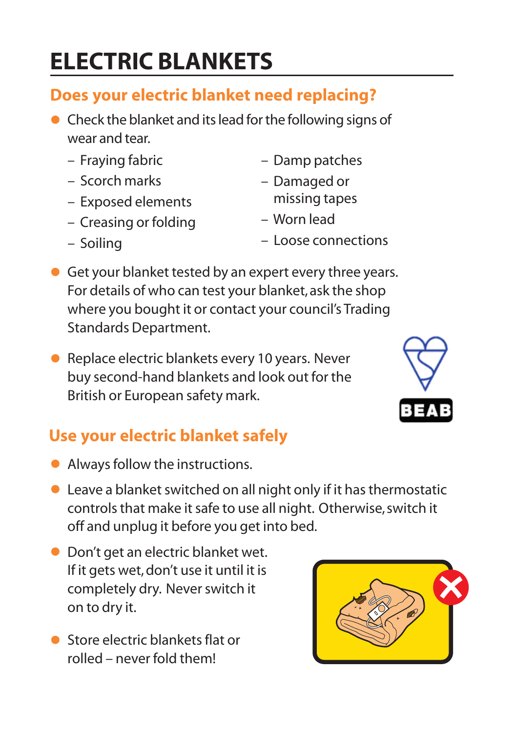# **ELECTRIC BLANKETS**

#### **Does your electric blanket need replacing?**

- Check the blanket and its lead for the following signs of wear and tear.
	- Fraying fabric
	- Scorch marks

– Soiling

- Exposed elements
- Creasing or folding
- Damp patches
- Damaged or missing tapes
- Worn lead
- Loose connections
- Get your blanket tested by an expert every three years. For details of who can test your blanket, ask the shop where you bought it or contact your council's Trading Standards Department.
- Replace electric blankets every 10 years. Never buy second-hand blankets and look out for the British or European safety mark.

#### **Use your electric blanket safely**

- Always follow the instructions.
- Leave a blanket switched on all night only if it has thermostatic controls that make it safe to use all night. Otherwise, switch it off and unplug it before you get into bed.
- Don't get an electric blanket wet. If it gets wet, don't use it until it is completely dry. Never switch it on to dry it.
- **•** Store electric blankets flat or rolled – never fold them!